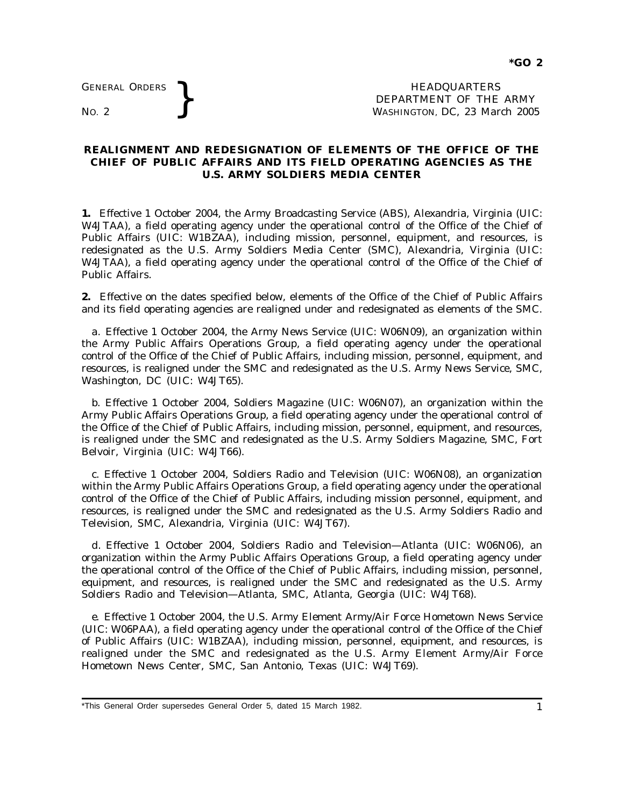GENERAL ORDERS **BEAUGE ARE SERVICE AS A SEX PROPERTY OF THE MORE PROPERTY OF THE WASHINGTON, DC, 23 Mar** DEPARTMENT OF THE ARMY WASHINGTON, DC, *23 March 2005*

## **REALIGNMENT AND REDESIGNATION OF ELEMENTS OF THE OFFICE OF THE CHIEF OF PUBLIC AFFAIRS AND ITS FIELD OPERATING AGENCIES AS THE U.S. ARMY SOLDIERS MEDIA CENTER**

**1.** Effective 1 October 2004, the Army Broadcasting Service (ABS), Alexandria, Virginia (UIC: W4JTAA), a field operating agency under the operational control of the Office of the Chief of Public Affairs (UIC: W1BZAA), including mission, personnel, equipment, and resources, is redesignated as the U.S. Army Soldiers Media Center (SMC), Alexandria, Virginia (UIC: W4JTAA), a field operating agency under the operational control of the Office of the Chief of Public Affairs.

**2.** Effective on the dates specified below, elements of the Office of the Chief of Public Affairs and its field operating agencies are realigned under and redesignated as elements of the SMC.

*a.* Effective 1 October 2004, the Army News Service (UIC: W06N09), an organization within the Army Public Affairs Operations Group, a field operating agency under the operational control of the Office of the Chief of Public Affairs, including mission, personnel, equipment, and resources, is realigned under the SMC and redesignated as the U.S. Army News Service, SMC, Washington, DC (UIC: W4JT65).

*b.* Effective 1 October 2004, Soldiers Magazine (UIC: W06N07), an organization within the Army Public Affairs Operations Group, a field operating agency under the operational control of the Office of the Chief of Public Affairs, including mission, personnel, equipment, and resources, is realigned under the SMC and redesignated as the U.S. Army Soldiers Magazine, SMC, Fort Belvoir, Virginia (UIC: W4JT66).

*c.* Effective 1 October 2004, Soldiers Radio and Television (UIC: W06N08), an organization within the Army Public Affairs Operations Group, a field operating agency under the operational control of the Office of the Chief of Public Affairs, including mission personnel, equipment, and resources, is realigned under the SMC and redesignated as the U.S. Army Soldiers Radio and Television, SMC, Alexandria, Virginia (UIC: W4JT67).

d. Effective 1 October 2004, Soldiers Radio and Television-Atlanta (UIC: W06N06), an organization within the Army Public Affairs Operations Group, a field operating agency under the operational control of the Office of the Chief of Public Affairs, including mission, personnel, equipment, and resources, is realigned under the SMC and redesignated as the U.S. Army Soldiers Radio and Television—Atlanta, SMC, Atlanta, Georgia (UIC: W4JT68).

*e.* Effective 1 October 2004, the U.S. Army Element Army/Air Force Hometown News Service (UIC: W06PAA), a field operating agency under the operational control of the Office of the Chief of Public Affairs (UIC: W1BZAA), including mission, personnel, equipment, and resources, is realigned under the SMC and redesignated as the U.S. Army Element Army/Air Force Hometown News Center, SMC, San Antonio, Texas (UIC: W4JT69).

<sup>\*</sup>This General Order supersedes General Order 5, dated 15 March 1982.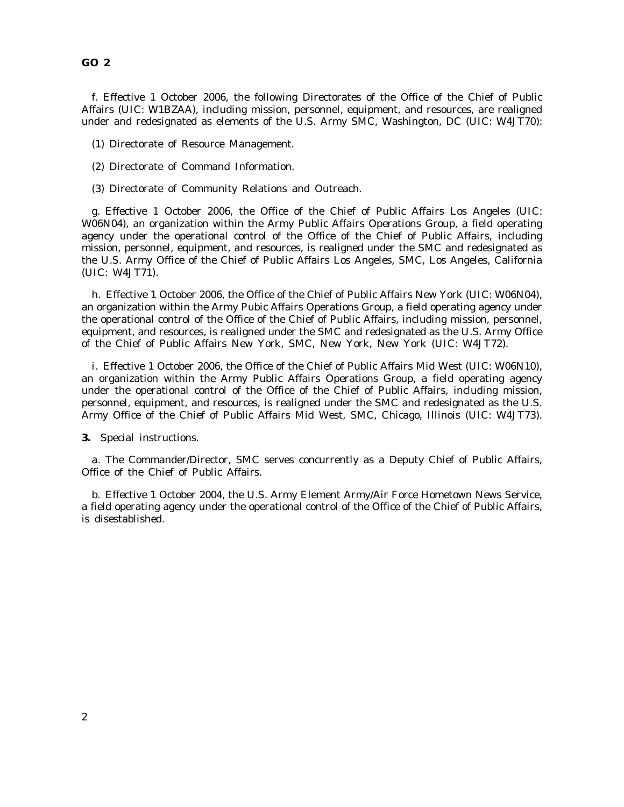## **GO 2**

*f.* Effective 1 October 2006, the following Directorates of the Office of the Chief of Public Affairs (UIC: W1BZAA), including mission, personnel, equipment, and resources, are realigned under and redesignated as elements of the U.S. Army SMC, Washington, DC (UIC: W4JT70):

- (1) Directorate of Resource Management.
- (2) Directorate of Command Information.
- (3) Directorate of Community Relations and Outreach.

*g.* Effective 1 October 2006, the Office of the Chief of Public Affairs Los Angeles (UIC: W06N04), an organization within the Army Public Affairs Operations Group, a field operating agency under the operational control of the Office of the Chief of Public Affairs, including mission, personnel, equipment, and resources, is realigned under the SMC and redesignated as the U.S. Army Office of the Chief of Public Affairs Los Angeles, SMC, Los Angeles, California (UIC: W4JT71).

*h.* Effective 1 October 2006, the Office of the Chief of Public Affairs New York (UIC: W06N04), an organization within the Army Pubic Affairs Operations Group, a field operating agency under the operational control of the Office of the Chief of Public Affairs, including mission, personnel, equipment, and resources, is realigned under the SMC and redesignated as the U.S. Army Office of the Chief of Public Affairs New York, SMC, New York, New York (UIC: W4JT72).

*i.* Effective 1 October 2006, the Office of the Chief of Public Affairs Mid West (UIC: W06N10), an organization within the Army Public Affairs Operations Group, a field operating agency under the operational control of the Office of the Chief of Public Affairs, including mission, personnel, equipment, and resources, is realigned under the SMC and redesignated as the U.S. Army Office of the Chief of Public Affairs Mid West, SMC, Chicago, Illinois (UIC: W4JT73).

**3.** Special instructions.

*a.* The Commander/Director, SMC serves concurrently as a Deputy Chief of Public Affairs, Office of the Chief of Public Affairs.

*b.* Effective 1 October 2004, the U.S. Army Element Army/Air Force Hometown News Service, a field operating agency under the operational control of the Office of the Chief of Public Affairs, is disestablished.